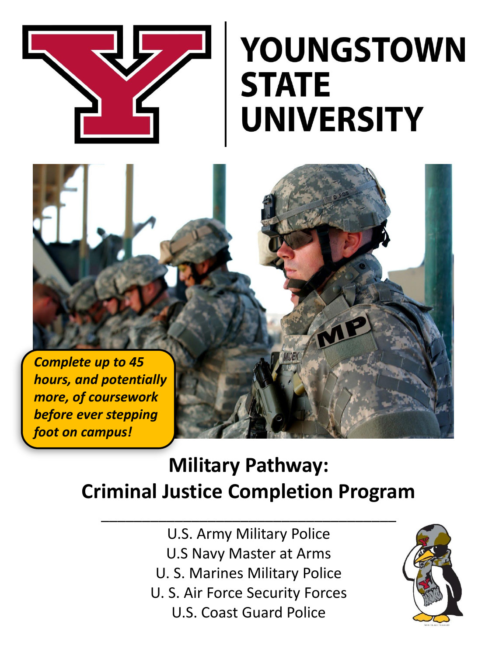

## **YOUNGSTOWN STATE UNIVERSITY**

*Complete up to 45 hours, and potentially more, of coursework before ever stepping foot on campus!*

## **Military Pathway: Criminal Justice Completion Program**

\_\_\_\_\_\_\_\_\_\_\_\_\_\_\_\_\_\_\_\_\_\_\_\_\_\_\_\_\_\_\_\_\_\_\_\_

U.S. Army Military Police U.S Navy Master at Arms U. S. Marines Military Police U. S. Air Force Security Forces U.S. Coast Guard Police